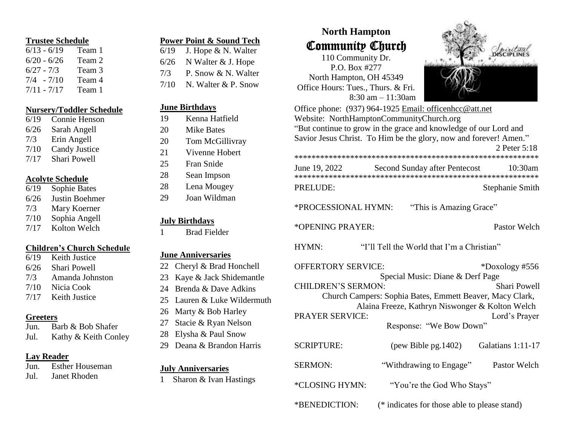#### **Trustee Schedule**

| $6/13 - 6/19$  | Team 1 |
|----------------|--------|
| $6/20 - 6/26$  | Team 2 |
| $6/27 - 7/3$   | Team 3 |
| $7/4$ - $7/10$ | Team 4 |
| $7/11 - 7/17$  | Team 1 |

#### **Nursery/Toddler Schedule**

| 6/19 | Connie Henson        |
|------|----------------------|
| 6/26 | Sarah Angell         |
| 7/3  | Erin Angell          |
| 7/10 | <b>Candy Justice</b> |
| 7/17 | Shari Powell         |

#### **Acolyte Schedule**

| 6/19 | Sophie Bates   |
|------|----------------|
| 6/26 | Justin Boehmer |
| 7/3  | Mary Koerner   |
| 7/10 | Sophia Angell  |
| 7/17 | Kolton Welch   |

# **Children's Church Schedule**

6/19 Keith Justice 6/26 Shari Powell 7/3 Amanda Johnston 7/10 Nicia Cook 7/17 Keith Justice

#### **Greeters**

Jun. Barb & Bob Shafer Jul. Kathy & Keith Conley

# **Lay Reader**

| Jun. | <b>Esther Houseman</b> |
|------|------------------------|
| Jul. | <b>Janet Rhoden</b>    |

| 6/19 | J. Hope & N. Walter        |
|------|----------------------------|
| 6/26 | N Walter & J. Hope         |
| 7/3  | P. Snow & N. Walter        |
|      | $7/10$ N. Walter & P. Snow |
|      |                            |

**Power Point & Sound Tech**

# **June Birthdays**

- 19 Kenna Hatfield
- 20 Mike Bates
- 20 Tom McGillivray
- 21 Vivenne Hobert
- 25 Fran Snide
- 28 Sean Impson
- 28 Lena Mougey
- 29 Joan Wildman

# **July Birthdays**

1 Brad Fielder

#### **June Anniversaries**

- 22 Cheryl & Brad Honchell
- 23 Kaye & Jack Shidemantle
- 24 Brenda & Dave Adkins
- 25 Lauren & Luke Wildermuth
- 26 Marty & Bob Harley
- 27 Stacie & Ryan Nelson
- 28 Elysha & Paul Snow
- 29 Deana & Brandon Harris

#### **July Anniversaries**

1 Sharon & Ivan Hastings

# **North Hampton** Community Church

110 Community Dr. P.O. Box #277 North Hampton, OH 45349 Office Hours: Tues., Thurs. & Fri. 8:30 am – 11:30am



|                           | Office phone: (937) 964-1925 Email: officenhcc@att.net<br>Website: NorthHamptonCommunityChurch.org |                     |
|---------------------------|----------------------------------------------------------------------------------------------------|---------------------|
|                           | "But continue to grow in the grace and knowledge of our Lord and                                   |                     |
|                           | Savior Jesus Christ. To Him be the glory, now and forever! Amen."                                  |                     |
|                           |                                                                                                    | 2 Peter 5:18        |
|                           |                                                                                                    |                     |
| June 19, 2022             | Second Sunday after Pentecost                                                                      | 10:30am             |
| <b>PRELUDE:</b>           |                                                                                                    | Stephanie Smith     |
| *PROCESSIONAL HYMN:       | "This is Amazing Grace"                                                                            |                     |
| *OPENING PRAYER:          |                                                                                                    | Pastor Welch        |
| HYMN:                     | "I'll Tell the World that I'm a Christian"                                                         |                     |
| <b>OFFERTORY SERVICE:</b> |                                                                                                    | *Doxology #556      |
|                           | Special Music: Diane & Derf Page                                                                   |                     |
| <b>CHILDREN'S SERMON:</b> |                                                                                                    | <b>Shari Powell</b> |
|                           | Church Campers: Sophia Bates, Emmett Beaver, Macy Clark,                                           |                     |
|                           | Alaina Freeze, Kathryn Niswonger & Kolton Welch                                                    |                     |
| <b>PRAYER SERVICE:</b>    |                                                                                                    | Lord's Prayer       |
|                           | Response: "We Bow Down"                                                                            |                     |
| <b>SCRIPTURE:</b>         | $(\text{pow Bible pg}.1402)$                                                                       | Galatians 1:11-17   |
| <b>SERMON:</b>            | "Withdrawing to Engage"                                                                            | Pastor Welch        |
| *CLOSING HYMN:            | "You're the God Who Stays"                                                                         |                     |
|                           |                                                                                                    |                     |

\*BENEDICTION: (\* indicates for those able to please stand)